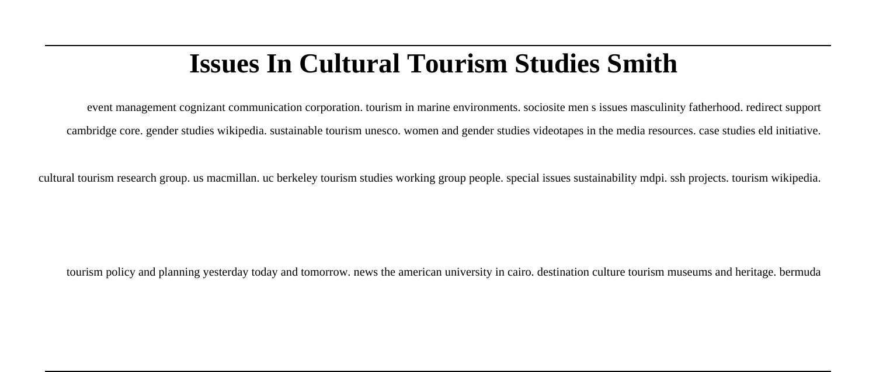# **Issues In Cultural Tourism Studies Smith**

event management cognizant communication corporation. tourism in marine environments. sociosite men s issues masculinity fatherhood. redirect support cambridge core. gender studies wikipedia. sustainable tourism unesco. women and gender studies videotapes in the media resources. case studies eld initiative.

cultural tourism research group. us macmillan. uc berkeley tourism studies working group people. special issues sustainability mdpi. ssh projects. tourism wikipedia.

tourism policy and planning yesterday today and tomorrow. news the american university in cairo. destination culture tourism museums and heritage. bermuda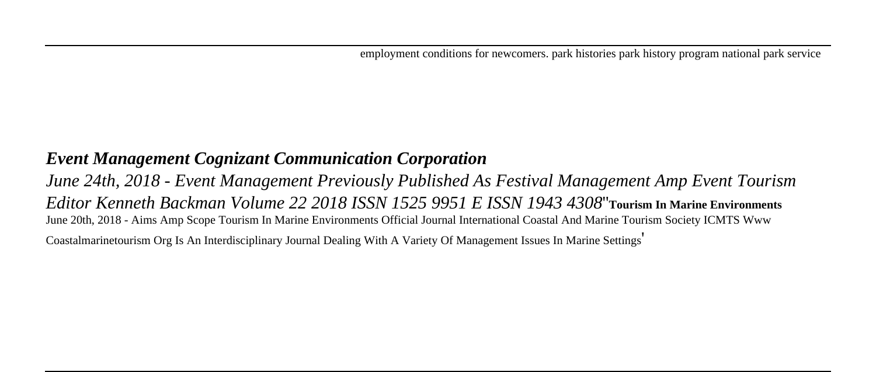employment conditions for newcomers. park histories park history program national park service

### *Event Management Cognizant Communication Corporation*

*June 24th, 2018 - Event Management Previously Published As Festival Management Amp Event Tourism Editor Kenneth Backman Volume 22 2018 ISSN 1525 9951 E ISSN 1943 4308*''**Tourism In Marine Environments** June 20th, 2018 - Aims Amp Scope Tourism In Marine Environments Official Journal International Coastal And Marine Tourism Society ICMTS Www

Coastalmarinetourism Org Is An Interdisciplinary Journal Dealing With A Variety Of Management Issues In Marine Settings'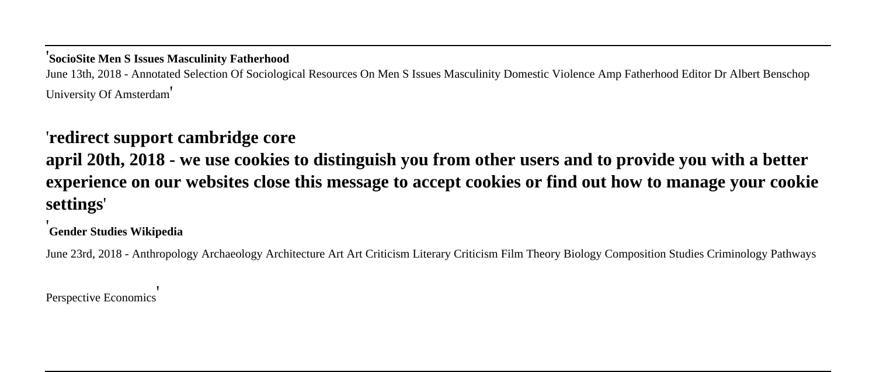#### '**SocioSite Men S Issues Masculinity Fatherhood**

June 13th, 2018 - Annotated Selection Of Sociological Resources On Men S Issues Masculinity Domestic Violence Amp Fatherhood Editor Dr Albert Benschop University Of Amsterdam'

### '**redirect support cambridge core**

**april 20th, 2018 - we use cookies to distinguish you from other users and to provide you with a better experience on our websites close this message to accept cookies or find out how to manage your cookie settings**'

'**Gender Studies Wikipedia**

June 23rd, 2018 - Anthropology Archaeology Architecture Art Art Criticism Literary Criticism Film Theory Biology Composition Studies Criminology Pathways

Perspective Economics'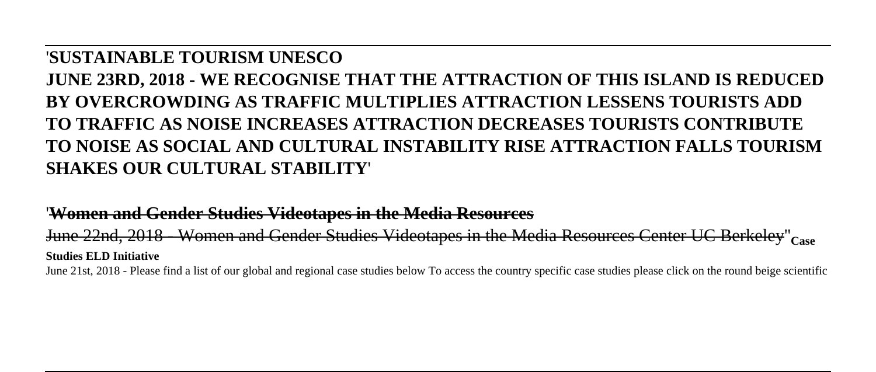#### '**SUSTAINABLE TOURISM UNESCO**

## **JUNE 23RD, 2018 - WE RECOGNISE THAT THE ATTRACTION OF THIS ISLAND IS REDUCED BY OVERCROWDING AS TRAFFIC MULTIPLIES ATTRACTION LESSENS TOURISTS ADD TO TRAFFIC AS NOISE INCREASES ATTRACTION DECREASES TOURISTS CONTRIBUTE TO NOISE AS SOCIAL AND CULTURAL INSTABILITY RISE ATTRACTION FALLS TOURISM SHAKES OUR CULTURAL STABILITY**'

#### '**Women and Gender Studies Videotapes in the Media Resources**

June 22nd, 2018 - Women and Gender Studies Videotapes in the Media Resources Center UC Berkeley''**Case Studies ELD Initiative**

June 21st, 2018 - Please find a list of our global and regional case studies below To access the country specific case studies please click on the round beige scientific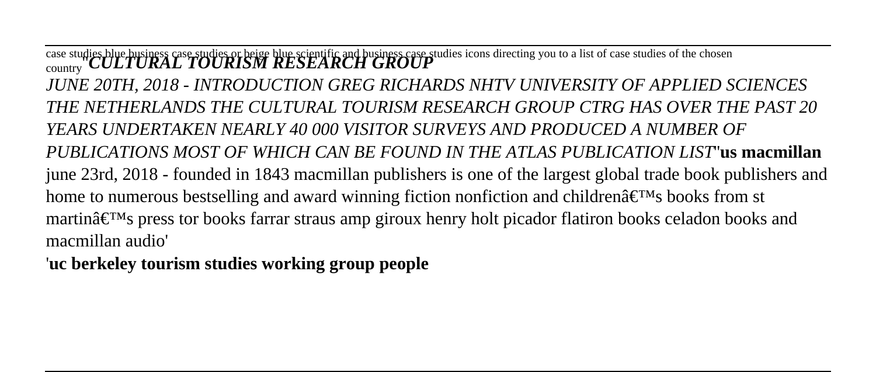case studies blue business case studies or beige blue scientific and business case studies icons directing you to a list of case studies of the chosen<br><sub>country</sub> *CULTURAL TOURISM RESEARCH GROUP JUNE 20TH, 2018 - INTRODUCTION GREG RICHARDS NHTV UNIVERSITY OF APPLIED SCIENCES THE NETHERLANDS THE CULTURAL TOURISM RESEARCH GROUP CTRG HAS OVER THE PAST 20 YEARS UNDERTAKEN NEARLY 40 000 VISITOR SURVEYS AND PRODUCED A NUMBER OF PUBLICATIONS MOST OF WHICH CAN BE FOUND IN THE ATLAS PUBLICATION LIST*''**us macmillan** june 23rd, 2018 - founded in 1843 macmillan publishers is one of the largest global trade book publishers and home to numerous bestselling and award winning fiction nonfiction and children $\hat{a} \in \mathbb{N}$  books from st martin $\hat{\mathbf{x}} \in \mathbb{R}^N$  press tor books farrar straus amp giroux henry holt picador flatiron books celadon books and macmillan audio'

'**uc berkeley tourism studies working group people**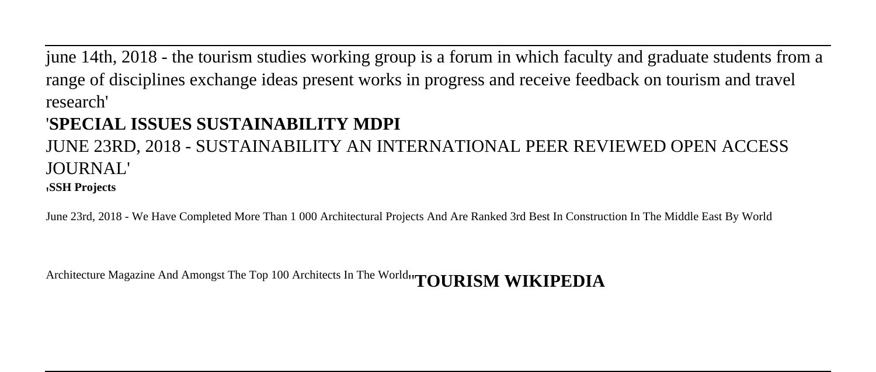june 14th, 2018 - the tourism studies working group is a forum in which faculty and graduate students from a range of disciplines exchange ideas present works in progress and receive feedback on tourism and travel research'

## '**SPECIAL ISSUES SUSTAINABILITY MDPI**

# JUNE 23RD, 2018 - SUSTAINABILITY AN INTERNATIONAL PEER REVIEWED OPEN ACCESS JOURNAL!

#### '**SSH Projects**

June 23rd, 2018 - We Have Completed More Than 1 000 Architectural Projects And Are Ranked 3rd Best In Construction In The Middle East By World

Architecture Magazine And Amongst The Top 100 Architects In The World''**TOURISM WIKIPEDIA**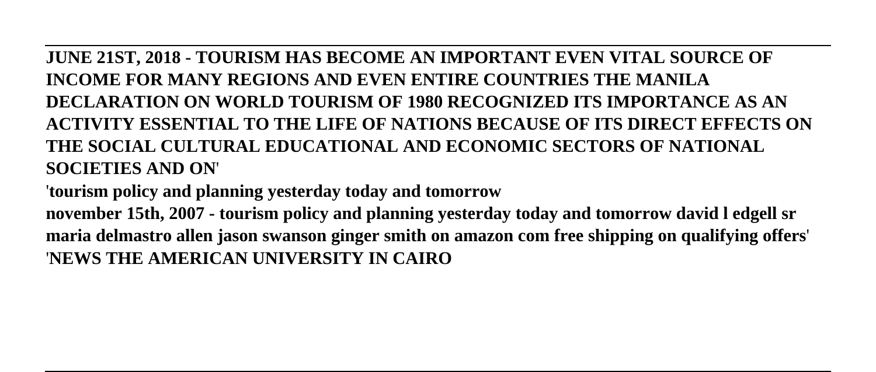**JUNE 21ST, 2018 - TOURISM HAS BECOME AN IMPORTANT EVEN VITAL SOURCE OF INCOME FOR MANY REGIONS AND EVEN ENTIRE COUNTRIES THE MANILA DECLARATION ON WORLD TOURISM OF 1980 RECOGNIZED ITS IMPORTANCE AS AN ACTIVITY ESSENTIAL TO THE LIFE OF NATIONS BECAUSE OF ITS DIRECT EFFECTS ON THE SOCIAL CULTURAL EDUCATIONAL AND ECONOMIC SECTORS OF NATIONAL SOCIETIES AND ON**'

'**tourism policy and planning yesterday today and tomorrow**

**november 15th, 2007 - tourism policy and planning yesterday today and tomorrow david l edgell sr maria delmastro allen jason swanson ginger smith on amazon com free shipping on qualifying offers**' '**NEWS THE AMERICAN UNIVERSITY IN CAIRO**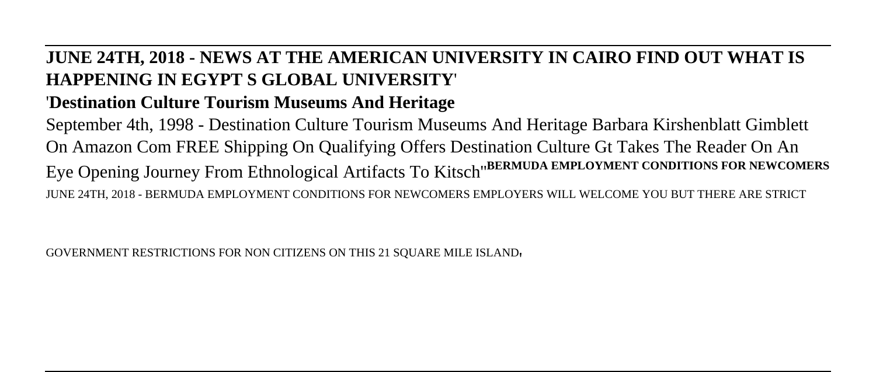## **JUNE 24TH, 2018 - NEWS AT THE AMERICAN UNIVERSITY IN CAIRO FIND OUT WHAT IS HAPPENING IN EGYPT S GLOBAL UNIVERSITY**' '**Destination Culture Tourism Museums And Heritage**

September 4th, 1998 - Destination Culture Tourism Museums And Heritage Barbara Kirshenblatt Gimblett On Amazon Com FREE Shipping On Qualifying Offers Destination Culture Gt Takes The Reader On An Eye Opening Journey From Ethnological Artifacts To Kitsch''**BERMUDA EMPLOYMENT CONDITIONS FOR NEWCOMERS** JUNE 24TH, 2018 - BERMUDA EMPLOYMENT CONDITIONS FOR NEWCOMERS EMPLOYERS WILL WELCOME YOU BUT THERE ARE STRICT

GOVERNMENT RESTRICTIONS FOR NON CITIZENS ON THIS 21 SQUARE MILE ISLAND'